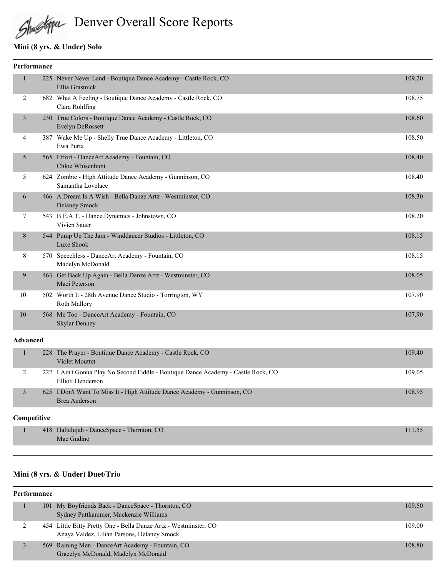# Shallsbypa Denver Overall Score Reports

#### **Mini (8 yrs. & Under) Solo**

| Performance |                |  |                                                                                    |        |
|-------------|----------------|--|------------------------------------------------------------------------------------|--------|
|             |                |  | 225 Never Never Land - Boutique Dance Academy - Castle Rock, CO<br>Ellia Grasmick  | 109.20 |
|             | 2              |  | 682 What A Feeling - Boutique Dance Academy - Castle Rock, CO<br>Clara Rohlfing    | 108.75 |
|             | 3              |  | 230 True Colors - Boutique Dance Academy - Castle Rock, CO<br>Evelyn DeRossett     | 108.60 |
|             | $\overline{4}$ |  | 387 Wake Me Up - Shelly True Dance Academy - Littleton, CO<br>Ewa Purta            | 108.50 |
|             | 5              |  | 565 Effort - DanceArt Academy - Fountain, CO<br>Chloe Whisenhunt                   | 108.40 |
|             | 5              |  | 624 Zombie - High Attitude Dance Academy - Gunninson, CO<br>Samantha Lovelace      | 108.40 |
|             | 6              |  | 466 A Dream Is A Wish - Bella Danze Artz - Westminster, CO<br><b>Delaney Smock</b> | 108.30 |
|             | 7              |  | 543 B.E.A.T. - Dance Dynamics - Johnstown, CO<br>Vivien Sauer                      | 108.20 |
|             | 8              |  | 544 Pump Up The Jam - Winddancer Studios - Littleton, CO<br>Luxe Shook             | 108.15 |
|             | 8              |  | 570 Speechless - DanceArt Academy - Fountain, CO<br>Madelyn McDonald               | 108.15 |
|             | 9              |  | 463 Get Back Up Again - Bella Danze Artz - Westminster, CO<br>Maci Peterson        | 108.05 |
|             | 10             |  | 502 Worth It - 28th Avenue Dance Studio - Torrington, WY<br>Roth Mallory           | 107.90 |
|             | 10             |  | 568 Me Too - DanceArt Academy - Fountain, CO<br><b>Skylar Denney</b>               | 107.90 |
|             |                |  |                                                                                    |        |

#### **Advanced**

| 228 The Prayer - Boutique Dance Academy - Castle Rock, CO<br>Violet Mouttet                             | 109.40 |
|---------------------------------------------------------------------------------------------------------|--------|
| 222 I Ain't Gonna Play No Second Fiddle - Boutique Dance Academy - Castle Rock, CO<br>Elliott Henderson | 109.05 |
| 625 I Don't Want To Miss It - High Attitude Dance Academy - Gunninson, CO<br>Brea Anderson              | 108.95 |
|                                                                                                         |        |

#### **Competitive**

| 418 Hallelujah - DanceSpace - Thornton, CO |  |
|--------------------------------------------|--|
| Mae Gudino                                 |  |

### **Mini (8 yrs. & Under) Duet/Trio**

| Performance |  |                                                                                                                 |        |
|-------------|--|-----------------------------------------------------------------------------------------------------------------|--------|
|             |  | 101 My Boyfriends Back - DanceSpace - Thornton, CO<br>Sydney Puttkammer, Mackenzie Williams                     | 109.50 |
|             |  | 454 Little Bitty Pretty One - Bella Danze Artz - Westminster, CO<br>Anaya Valdez, Lilian Parsons, Delaney Smock | 109.00 |
|             |  | 569 Raining Men - Dance Art Academy - Fountain, CO<br>Gracelyn McDonald, Madelyn McDonald                       | 108.80 |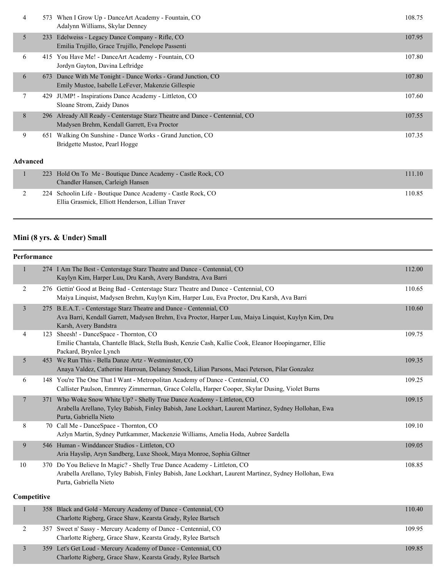| 4            | 573             | When I Grow Up - Dance Art Academy - Fountain, CO<br>Adalynn Williams, Skylar Denney                                    | 108.75 |
|--------------|-----------------|-------------------------------------------------------------------------------------------------------------------------|--------|
|              | 5<br>233        | Edelweiss - Legacy Dance Company - Rifle, CO<br>Emilia Trujillo, Grace Trujillo, Penelope Passenti                      | 107.95 |
| 6            |                 | 415 You Have Me! - Dance Art Academy - Fountain, CO<br>Jordyn Gayton, Davina Leftridge                                  | 107.80 |
|              | 6<br>673        | Dance With Me Tonight - Dance Works - Grand Junction, CO<br>Emily Mustoe, Isabelle LeFever, Makenzie Gillespie          | 107.80 |
|              | 7<br>429        | JUMP! - Inspirations Dance Academy - Littleton, CO<br>Sloane Strom, Zaidy Danos                                         | 107.60 |
| 8            | 296             | Already All Ready - Centerstage Starz Theatre and Dance - Centennial, CO<br>Madysen Brehm, Kendall Garrett, Eva Proctor | 107.55 |
| 9            | 651             | Walking On Sunshine - Dance Works - Grand Junction, CO<br>Bridgette Mustoe, Pearl Hogge                                 | 107.35 |
|              | <b>Advanced</b> |                                                                                                                         |        |
| $\mathbf{1}$ | 223             | Hold On To Me - Boutique Dance Academy - Castle Rock, CO<br>Chandler Hansen, Carleigh Hansen                            | 111.10 |
| 2            | 224             | Schoolin Life - Boutique Dance Academy - Castle Rock, CO<br>Ellia Grasmick, Elliott Henderson, Lillian Traver           | 110.85 |

# **Mini (8 yrs. & Under) Small**

| Performance |                |                                                                                                                                                                                                             |        |  |  |
|-------------|----------------|-------------------------------------------------------------------------------------------------------------------------------------------------------------------------------------------------------------|--------|--|--|
|             | $\mathbf{1}$   | 274 I Am The Best - Centerstage Starz Theatre and Dance - Centennial, CO<br>Kuylyn Kim, Harper Luu, Dru Karsh, Avery Bandstra, Ava Barri                                                                    | 112.00 |  |  |
|             | 2              | 276 Gettin' Good at Being Bad - Centerstage Starz Theatre and Dance - Centennial, CO<br>Maiya Linquist, Madysen Brehm, Kuylyn Kim, Harper Luu, Eva Proctor, Dru Karsh, Ava Barri                            | 110.65 |  |  |
|             | $\overline{3}$ | 275 B.E.A.T. - Centerstage Starz Theatre and Dance - Centennial, CO<br>Ava Barri, Kendall Garrett, Madysen Brehm, Eva Proctor, Harper Luu, Maiya Linquist, Kuylyn Kim, Dru<br>Karsh, Avery Bandstra         | 110.60 |  |  |
|             | 4              | 123 Sheesh! - DanceSpace - Thornton, CO<br>Emilie Chantala, Chantelle Black, Stella Bush, Kenzie Cash, Kallie Cook, Eleanor Hoopingarner, Ellie<br>Packard, Brynlee Lynch                                   | 109.75 |  |  |
|             | 5              | 453 We Run This - Bella Danze Artz - Westminster, CO<br>Anaya Valdez, Catherine Harroun, Delaney Smock, Lilian Parsons, Maci Peterson, Pilar Gonzalez                                                       | 109.35 |  |  |
|             | 6              | 148 You're The One That I Want - Metropolitan Academy of Dance - Centennial, CO<br>Callister Paulson, Emmrey Zimmerman, Grace Colella, Harper Cooper, Skylar Dusing, Violet Burns                           | 109.25 |  |  |
|             | $\overline{7}$ | 371 Who Woke Snow White Up? - Shelly True Dance Academy - Littleton, CO<br>Arabella Arellano, Tyley Babish, Finley Babish, Jane Lockhart, Laurent Martinez, Sydney Hollohan, Ewa<br>Purta, Gabriella Nieto  | 109.15 |  |  |
|             | 8              | 70 Call Me - DanceSpace - Thornton, CO<br>Azlyn Martin, Sydney Puttkammer, Mackenzie Williams, Amelia Hoda, Aubree Sardella                                                                                 | 109.10 |  |  |
|             | 9              | 546 Human - Winddancer Studios - Littleton, CO<br>Aria Hayslip, Aryn Sandberg, Luxe Shook, Maya Monroe, Sophia Giltner                                                                                      | 109.05 |  |  |
|             | 10             | 370 Do You Believe In Magic? - Shelly True Dance Academy - Littleton, CO<br>Arabella Arellano, Tyley Babish, Finley Babish, Jane Lockhart, Laurent Martinez, Sydney Hollohan, Ewa<br>Purta, Gabriella Nieto | 108.85 |  |  |
|             | Competitive    |                                                                                                                                                                                                             |        |  |  |
|             | $\mathbf{1}$   | 358 Black and Gold - Mercury Academy of Dance - Centennial, CO<br>Charlotte Rigberg, Grace Shaw, Kearsta Grady, Rylee Bartsch                                                                               | 110.40 |  |  |
|             | $\overline{c}$ | 357 Sweet n' Sassy - Mercury Academy of Dance - Centennial, CO<br>Charlotte Rigberg, Grace Shaw, Kearsta Grady, Rylee Bartsch                                                                               | 109.95 |  |  |
|             |                |                                                                                                                                                                                                             |        |  |  |

| 359 Let's Get Loud - Mercury Academy of Dance - Centennial, CO | 109.85 |
|----------------------------------------------------------------|--------|
| Charlotte Rigberg, Grace Shaw, Kearsta Grady, Rylee Bartsch    |        |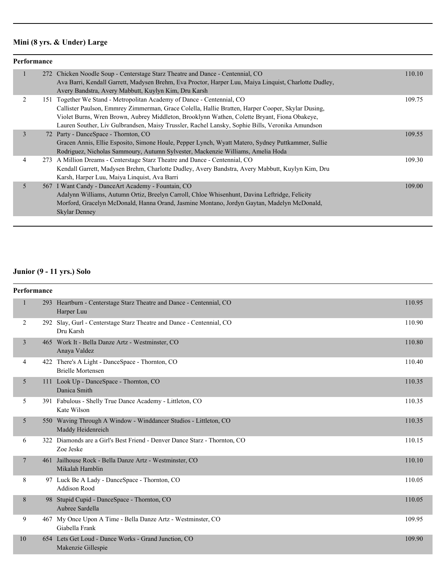## **Mini (8 yrs. & Under) Large**

| Performance |  |                                                                                                                                                                                                                                                                                                                                                                                                                                        |        |
|-------------|--|----------------------------------------------------------------------------------------------------------------------------------------------------------------------------------------------------------------------------------------------------------------------------------------------------------------------------------------------------------------------------------------------------------------------------------------|--------|
|             |  | 272 Chicken Noodle Soup - Centerstage Starz Theatre and Dance - Centennial, CO<br>Ava Barri, Kendall Garrett, Madysen Brehm, Eva Proctor, Harper Luu, Maiya Linguist, Charlotte Dudley,                                                                                                                                                                                                                                                | 110.10 |
| 2           |  | Avery Bandstra, Avery Mabbutt, Kuylyn Kim, Dru Karsh<br>151 Together We Stand - Metropolitan Academy of Dance - Centennial, CO<br>Callister Paulson, Emmrey Zimmerman, Grace Colella, Hallie Bratten, Harper Cooper, Skylar Dusing,<br>Violet Burns, Wren Brown, Aubrey Middleton, Brooklynn Wathen, Colette Bryant, Fiona Obakeye,<br>Lauren Souther, Liv Gulbrandsen, Maisy Trussler, Rachel Lansky, Sophie Bills, Veronika Amundson | 109.75 |
| 3           |  | 72 Party - DanceSpace - Thornton, CO<br>Gracen Annis, Ellie Esposito, Simone Houle, Pepper Lynch, Wyatt Matero, Sydney Puttkammer, Sullie<br>Rodriguez, Nicholas Sammoury, Autumn Sylvester, Mackenzie Williams, Amelia Hoda                                                                                                                                                                                                           | 109.55 |
| 4           |  | 273 A Million Dreams - Centerstage Starz Theatre and Dance - Centennial, CO<br>Kendall Garrett, Madysen Brehm, Charlotte Dudley, Avery Bandstra, Avery Mabbutt, Kuylyn Kim, Dru<br>Karsh, Harper Luu, Maiya Linquist, Ava Barri                                                                                                                                                                                                        | 109.30 |
| 5           |  | 567 I Want Candy - Dance Art Academy - Fountain, CO<br>Adalynn Williams, Autumn Ortiz, Breelyn Carroll, Chloe Whisenhunt, Davina Leftridge, Felicity<br>Morford, Gracelyn McDonald, Hanna Orand, Jasmine Montano, Jordyn Gaytan, Madelyn McDonald,<br>Skylar Denney                                                                                                                                                                    | 109.00 |

#### **Junior (9 - 11 yrs.) Solo**

| Performance    |  |                                                                                        |        |
|----------------|--|----------------------------------------------------------------------------------------|--------|
| $\mathbf{1}$   |  | 293 Heartburn - Centerstage Starz Theatre and Dance - Centennial, CO<br>Harper Luu     | 110.95 |
| 2              |  | 292 Slay, Gurl - Centerstage Starz Theatre and Dance - Centennial, CO<br>Dru Karsh     | 110.90 |
| $\overline{3}$ |  | 465 Work It - Bella Danze Artz - Westminster, CO<br>Anaya Valdez                       | 110.80 |
| 4              |  | 422 There's A Light - DanceSpace - Thornton, CO<br><b>Brielle Mortensen</b>            | 110.40 |
| 5              |  | 111 Look Up - DanceSpace - Thornton, CO<br>Danica Smith                                | 110.35 |
| 5              |  | 391 Fabulous - Shelly True Dance Academy - Littleton, CO<br>Kate Wilson                | 110.35 |
| 5              |  | 550 Waving Through A Window - Winddancer Studios - Littleton, CO<br>Maddy Heidenreich  | 110.35 |
| 6              |  | 322 Diamonds are a Girl's Best Friend - Denver Dance Starz - Thornton, CO<br>Zoe Jeske | 110.15 |
| $\overline{7}$ |  | 461 Jailhouse Rock - Bella Danze Artz - Westminster, CO<br>Mikalah Hamblin             | 110.10 |
| 8              |  | 97 Luck Be A Lady - DanceSpace - Thornton, CO<br><b>Addison Rood</b>                   | 110.05 |
| 8              |  | 98 Stupid Cupid - DanceSpace - Thornton, CO<br>Aubree Sardella                         | 110.05 |
| 9              |  | 467 My Once Upon A Time - Bella Danze Artz - Westminster, CO<br>Giabella Frank         | 109.95 |
| 10             |  | 654 Lets Get Loud - Dance Works - Grand Junction, CO<br>Makenzie Gillespie             | 109.90 |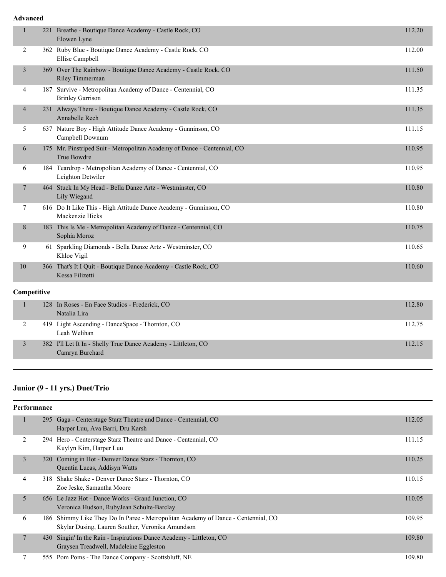#### **Advanced**

| $\mathbf{1}$   |    | 221 Breathe - Boutique Dance Academy - Castle Rock, CO<br>Elowen Lyne                   | 112.20 |
|----------------|----|-----------------------------------------------------------------------------------------|--------|
| 2              |    | 362 Ruby Blue - Boutique Dance Academy - Castle Rock, CO<br>Ellise Campbell             | 112.00 |
| $\mathfrak{Z}$ |    | 369 Over The Rainbow - Boutique Dance Academy - Castle Rock, CO<br>Riley Timmerman      | 111.50 |
| 4              |    | 187 Survive - Metropolitan Academy of Dance - Centennial, CO<br><b>Brinley Garrison</b> | 111.35 |
| 4              |    | 231 Always There - Boutique Dance Academy - Castle Rock, CO<br>Annabelle Rech           | 111.35 |
| 5              |    | 637 Nature Boy - High Attitude Dance Academy - Gunninson, CO<br>Campbell Downum         | 111.15 |
| 6              |    | 175 Mr. Pinstriped Suit - Metropolitan Academy of Dance - Centennial, CO<br>True Bowdre | 110.95 |
| 6              |    | 184 Teardrop - Metropolitan Academy of Dance - Centennial, CO<br>Leighton Detwiler      | 110.95 |
| $\tau$         |    | 464 Stuck In My Head - Bella Danze Artz - Westminster, CO<br>Lily Wiegand               | 110.80 |
| 7              |    | 616 Do It Like This - High Attitude Dance Academy - Gunninson, CO<br>Mackenzie Hicks    | 110.80 |
| 8              |    | 183 This Is Me - Metropolitan Academy of Dance - Centennial, CO<br>Sophia Moroz         | 110.75 |
| 9              | 61 | Sparkling Diamonds - Bella Danze Artz - Westminster, CO<br>Khloe Vigil                  | 110.65 |
| 10             |    | 366 That's It I Quit - Boutique Dance Academy - Castle Rock, CO<br>Kessa Filizetti      | 110.60 |
| Competitive    |    |                                                                                         |        |
| 1              |    | 128 In Roses - En Face Studios - Frederick, CO<br>Natalia Lira                          | 112.80 |
| 2              |    | 419 Light Ascending - DanceSpace - Thornton, CO<br>Leah Welihan                         | 112.75 |

#### **Junior (9 - 11 yrs.) Duet/Trio**

Camryn Burchard

| Performance    |     |                                                                                                                                       |        |
|----------------|-----|---------------------------------------------------------------------------------------------------------------------------------------|--------|
|                |     | 295 Gaga - Centerstage Starz Theatre and Dance - Centennial, CO<br>Harper Luu, Ava Barri, Dru Karsh                                   | 112.05 |
| 2              |     | 294 Hero - Centerstage Starz Theatre and Dance - Centennial, CO<br>Kuylyn Kim, Harper Luu                                             | 111.15 |
| $\overline{3}$ |     | 320 Coming in Hot - Denver Dance Starz - Thornton, CO<br>Quentin Lucas, Addisyn Watts                                                 | 110.25 |
| 4              | 318 | Shake Shake - Denver Dance Starz - Thornton, CO<br>Zoe Jeske, Samantha Moore                                                          | 110.15 |
| 5              |     | 656 Le Jazz Hot - Dance Works - Grand Junction, CO<br>Veronica Hudson, RubyJean Schulte-Barclay                                       | 110.05 |
| 6              |     | 186 Shimmy Like They Do In Paree - Metropolitan Academy of Dance - Centennial, CO<br>Skylar Dusing, Lauren Souther, Veronika Amundson | 109.95 |
| 7              |     | 430 Singin' In the Rain - Inspirations Dance Academy - Littleton, CO<br>Graysen Treadwell, Madeleine Eggleston                        | 109.80 |
| 7              | 555 | Pom Poms - The Dance Company - Scottsbluff, NE                                                                                        | 109.80 |

3 382 I'll Let It In - Shelly True Dance Academy - Littleton, CO 112.15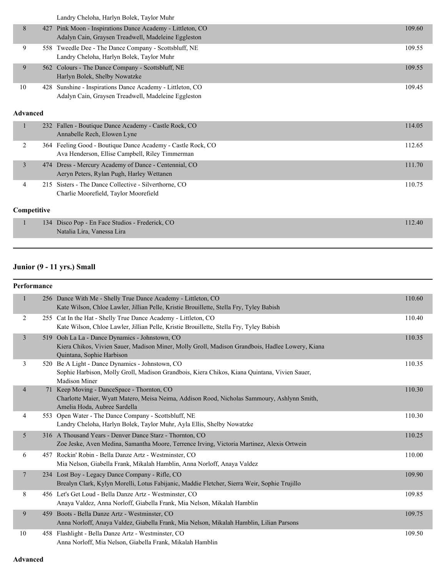|                 |     | Landry Cheloha, Harlyn Bolek, Taylor Muhr                                                                      |        |
|-----------------|-----|----------------------------------------------------------------------------------------------------------------|--------|
| 8               | 427 | Pink Moon - Inspirations Dance Academy - Littleton, CO<br>Adalyn Cain, Graysen Treadwell, Madeleine Eggleston  | 109.60 |
| 9               |     | 558 Tweedle Dee - The Dance Company - Scottsbluff, NE<br>Landry Cheloha, Harlyn Bolek, Taylor Muhr             | 109.55 |
| 9               | 562 | Colours - The Dance Company - Scottsbluff, NE<br>Harlyn Bolek, Shelby Nowatzke                                 | 109.55 |
| 10              | 428 | Sunshine - Inspirations Dance Academy - Littleton, CO<br>Adalyn Cain, Graysen Treadwell, Madeleine Eggleston   | 109.45 |
| <b>Advanced</b> |     |                                                                                                                |        |
| 1               |     | 232 Fallen - Boutique Dance Academy - Castle Rock, CO<br>Annabelle Rech, Elowen Lyne                           | 114.05 |
| 2               |     | 364 Feeling Good - Boutique Dance Academy - Castle Rock, CO<br>Ava Henderson, Ellise Campbell, Riley Timmerman | 112.65 |
| 3               | 474 | Dress - Mercury Academy of Dance - Centennial, CO<br>Aeryn Peters, Rylan Pugh, Harley Wettanen                 | 111.70 |
| 4               | 215 | Sisters - The Dance Collective - Silverthorne, CO<br>Charlie Moorefield, Taylor Moorefield                     | 110.75 |
| Competitive     |     |                                                                                                                |        |
|                 | 134 | Disco Pop - En Face Studios - Frederick, CO<br>Natalia Lira, Vanessa Lira                                      | 112.40 |

# **Junior (9 - 11 yrs.) Small**

| Performance    |  |                                                                                                                                                                                |        |
|----------------|--|--------------------------------------------------------------------------------------------------------------------------------------------------------------------------------|--------|
| 1              |  | 256 Dance With Me - Shelly True Dance Academy - Littleton, CO<br>Kate Wilson, Chloe Lawler, Jillian Pelle, Kristie Brouillette, Stella Fry, Tyley Babish                       | 110.60 |
| 2              |  | 255 Cat In the Hat - Shelly True Dance Academy - Littleton, CO<br>Kate Wilson, Chloe Lawler, Jillian Pelle, Kristie Brouillette, Stella Fry, Tyley Babish                      | 110.40 |
| 3              |  | 519 Ooh La La - Dance Dynamics - Johnstown, CO<br>Kiera Chikos, Vivien Sauer, Madison Miner, Molly Groll, Madison Grandbois, Hadlee Lowery, Kiana<br>Quintana, Sophie Harbison | 110.35 |
| 3              |  | 520 Be A Light - Dance Dynamics - Johnstown, CO<br>Sophie Harbison, Molly Groll, Madison Grandbois, Kiera Chikos, Kiana Quintana, Vivien Sauer,<br><b>Madison Miner</b>        | 110.35 |
| $\overline{4}$ |  | 71 Keep Moving - DanceSpace - Thornton, CO<br>Charlotte Maier, Wyatt Matero, Meisa Neima, Addison Rood, Nicholas Sammoury, Ashlynn Smith,<br>Amelia Hoda, Aubree Sardella      | 110.30 |
| 4              |  | 553 Open Water - The Dance Company - Scottsbluff, NE<br>Landry Cheloha, Harlyn Bolek, Taylor Muhr, Ayla Ellis, Shelby Nowatzke                                                 | 110.30 |
| 5              |  | 316 A Thousand Years - Denver Dance Starz - Thornton, CO<br>Zoe Jeske, Aven Medina, Samantha Moore, Terrence Irving, Victoria Martinez, Alexis Ortwein                         | 110.25 |
| 6              |  | 457 Rockin' Robin - Bella Danze Artz - Westminster, CO<br>Mia Nelson, Giabella Frank, Mikalah Hamblin, Anna Norloff, Anaya Valdez                                              | 110.00 |
| $\overline{7}$ |  | 234 Lost Boy - Legacy Dance Company - Rifle, CO<br>Brealyn Clark, Kylyn Morelli, Lotus Fabijanic, Maddie Fletcher, Sierra Weir, Sophie Trujillo                                | 109.90 |
| 8              |  | 456 Let's Get Loud - Bella Danze Artz - Westminster, CO<br>Anaya Valdez, Anna Norloff, Giabella Frank, Mia Nelson, Mikalah Hamblin                                             | 109.85 |
| 9              |  | 459 Boots - Bella Danze Artz - Westminster, CO<br>Anna Norloff, Anaya Valdez, Giabella Frank, Mia Nelson, Mikalah Hamblin, Lilian Parsons                                      | 109.75 |
| 10             |  | 458 Flashlight - Bella Danze Artz - Westminster, CO<br>Anna Norloff, Mia Nelson, Giabella Frank, Mikalah Hamblin                                                               | 109.50 |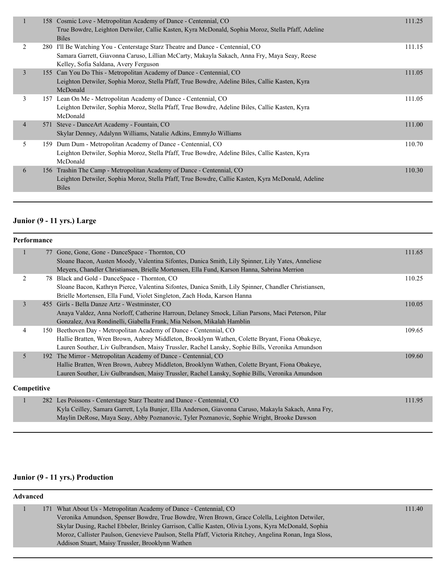|    | 158 Cosmic Love - Metropolitan Academy of Dance - Centennial, CO<br>True Bowdre, Leighton Detwiler, Callie Kasten, Kyra McDonald, Sophia Moroz, Stella Pfaff, Adeline<br><b>Biles</b>                                    | 111.25 |
|----|--------------------------------------------------------------------------------------------------------------------------------------------------------------------------------------------------------------------------|--------|
| 2  | 280 I'll Be Watching You - Centerstage Starz Theatre and Dance - Centennial, CO<br>Samara Garrett, Giavonna Caruso, Lillian McCarty, Makayla Sakach, Anna Fry, Maya Seay, Reese<br>Kelley, Sofia Saldana, Avery Ferguson | 111.15 |
| 3  | 155 Can You Do This - Metropolitan Academy of Dance - Centennial, CO<br>Leighton Detwiler, Sophia Moroz, Stella Pfaff, True Bowdre, Adeline Biles, Callie Kasten, Kyra<br>McDonald                                       | 111.05 |
| 3  | 157 Lean On Me - Metropolitan Academy of Dance - Centennial, CO<br>Leighton Detwiler, Sophia Moroz, Stella Pfaff, True Bowdre, Adeline Biles, Callie Kasten, Kyra<br>McDonald                                            | 111.05 |
| 4  | 571 Steve - Dance Art Academy - Fountain, CO<br>Skylar Denney, Adalynn Williams, Natalie Adkins, EmmyJo Williams                                                                                                         | 111.00 |
| 5. | 159 Dum Dum - Metropolitan Academy of Dance - Centennial, CO<br>Leighton Detwiler, Sophia Moroz, Stella Pfaff, True Bowdre, Adeline Biles, Callie Kasten, Kyra<br>McDonald                                               | 110.70 |
| 6  | 156 Trashin The Camp - Metropolitan Academy of Dance - Centennial, CO<br>Leighton Detwiler, Sophia Moroz, Stella Pfaff, True Bowdre, Callie Kasten, Kyra McDonald, Adeline<br><b>Biles</b>                               | 110.30 |
|    |                                                                                                                                                                                                                          |        |

#### **Junior (9 - 11 yrs.) Large**

|             | Performance |                                                                                                      |        |
|-------------|-------------|------------------------------------------------------------------------------------------------------|--------|
|             |             | 77 Gone, Gone, Gone - DanceSpace - Thornton, CO                                                      | 111.65 |
|             |             | Sloane Bacon, Austen Moody, Valentina Sifontes, Danica Smith, Lily Spinner, Lily Yates, Anneliese    |        |
|             |             | Meyers, Chandler Christiansen, Brielle Mortensen, Ella Fund, Karson Hanna, Sabrina Merrion           |        |
| 2           |             | 78 Black and Gold - DanceSpace - Thornton, CO                                                        | 110.25 |
|             |             | Sloane Bacon, Kathryn Pierce, Valentina Sifontes, Danica Smith, Lily Spinner, Chandler Christiansen, |        |
|             |             | Brielle Mortensen, Ella Fund, Violet Singleton, Zach Hoda, Karson Hanna                              |        |
| 3           |             | 455 Girls - Bella Danze Artz - Westminster, CO                                                       | 110.05 |
|             |             | Anaya Valdez, Anna Norloff, Catherine Harroun, Delaney Smock, Lilian Parsons, Maci Peterson, Pilar   |        |
|             |             | Gonzalez, Ava Rondinelli, Giabella Frank, Mia Nelson, Mikalah Hamblin                                |        |
| 4           |             | 150 Beethoven Day - Metropolitan Academy of Dance - Centennial, CO                                   | 109.65 |
|             |             | Hallie Bratten, Wren Brown, Aubrey Middleton, Brooklynn Wathen, Colette Bryant, Fiona Obakeye,       |        |
|             |             | Lauren Souther, Liv Gulbrandsen, Maisy Trussler, Rachel Lansky, Sophie Bills, Veronika Amundson      |        |
| 5           |             | 192 The Mirror - Metropolitan Academy of Dance - Centennial, CO                                      | 109.60 |
|             |             | Hallie Bratten, Wren Brown, Aubrey Middleton, Brooklynn Wathen, Colette Bryant, Fiona Obakeye,       |        |
|             |             | Lauren Souther, Liv Gulbrandsen, Maisy Trussler, Rachel Lansky, Sophie Bills, Veronika Amundson      |        |
| Competitive |             |                                                                                                      |        |

|  | 282 Les Poissons - Centerstage Starz Theatre and Dance - Centennial, CO                              | 111.95 |
|--|------------------------------------------------------------------------------------------------------|--------|
|  | Kyla Ceilley, Samara Garrett, Lyla Bunjer, Ella Anderson, Giavonna Caruso, Makayla Sakach, Anna Fry, |        |
|  | Maylin DeRose, Maya Seay, Abby Poznanovic, Tyler Poznanovic, Sophie Wright, Brooke Dawson            |        |

## **Junior (9 - 11 yrs.) Production**

### **Advanced**

| 171 What About Us - Metropolitan Academy of Dance - Centennial, CO                                       | 111.40 |
|----------------------------------------------------------------------------------------------------------|--------|
| Veronika Amundson, Spenser Bowdre, True Bowdre, Wren Brown, Grace Colella, Leighton Detwiler,            |        |
| Skylar Dusing, Rachel Ebbeler, Brinley Garrison, Callie Kasten, Olivia Lyons, Kyra McDonald, Sophia      |        |
| Moroz, Callister Paulson, Genevieve Paulson, Stella Pfaff, Victoria Ritchey, Angelina Ronan, Inga Sloss, |        |
| Addison Stuart, Maisy Trussler, Brooklynn Wathen                                                         |        |
|                                                                                                          |        |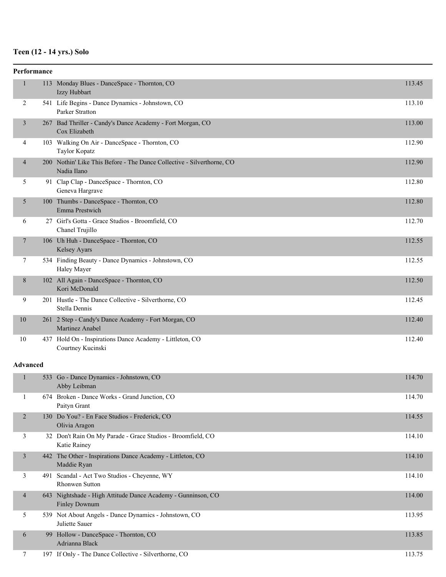## **Teen (12 - 14 yrs.) Solo**

|                 | Performance |                                                                                       |        |
|-----------------|-------------|---------------------------------------------------------------------------------------|--------|
| $\mathbf{1}$    |             | 113 Monday Blues - DanceSpace - Thornton, CO<br>Izzy Hubbart                          | 113.45 |
| 2               |             | 541 Life Begins - Dance Dynamics - Johnstown, CO<br><b>Parker Stratton</b>            | 113.10 |
| 3               |             | 267 Bad Thriller - Candy's Dance Academy - Fort Morgan, CO<br>Cox Elizabeth           | 113.00 |
| 4               |             | 103 Walking On Air - DanceSpace - Thornton, CO<br>Taylor Kopatz                       | 112.90 |
| 4               |             | 200 Nothin' Like This Before - The Dance Collective - Silverthorne, CO<br>Nadia Ilano | 112.90 |
| 5               |             | 91 Clap Clap - DanceSpace - Thornton, CO<br>Geneva Hargrave                           | 112.80 |
| 5               |             | 100 Thumbs - DanceSpace - Thornton, CO<br>Emma Prestwich                              | 112.80 |
| 6               |             | 27 Girl's Gotta - Grace Studios - Broomfield, CO<br>Chanel Trujillo                   | 112.70 |
| 7               |             | 106 Uh Huh - DanceSpace - Thornton, CO<br>Kelsey Ayars                                | 112.55 |
| 7               |             | 534 Finding Beauty - Dance Dynamics - Johnstown, CO<br>Haley Mayer                    | 112.55 |
| 8               |             | 102 All Again - DanceSpace - Thornton, CO<br>Kori McDonald                            | 112.50 |
| 9               |             | 201 Hustle - The Dance Collective - Silverthorne, CO<br>Stella Dennis                 | 112.45 |
| 10              |             | 261 2 Step - Candy's Dance Academy - Fort Morgan, CO<br>Martinez Anabel               | 112.40 |
| 10              |             | 437 Hold On - Inspirations Dance Academy - Littleton, CO<br>Courtney Kucinski         | 112.40 |
| <b>Advanced</b> |             |                                                                                       |        |
| 1               |             | 533 Go - Dance Dynamics - Johnstown, CO<br>Abby Leibman                               | 114.70 |
| 1               |             | 674 Broken - Dance Works - Grand Junction, CO<br>Paityn Grant                         | 114.70 |
| $\overline{2}$  |             | 130 Do You? - En Face Studios - Frederick, CO<br>Olivia Aragon                        | 114.55 |
| 3               |             | 32 Don't Rain On My Parade - Grace Studios - Broomfield, CO<br>Katie Rainey           | 114.10 |
| $\mathfrak{Z}$  |             | 442 The Other - Inspirations Dance Academy - Littleton, CO<br>Maddie Ryan             | 114.10 |
| 3               |             | 491 Scandal - Act Two Studios - Cheyenne, WY<br>Rhonwen Sutton                        | 114.10 |
| 4               |             | 643 Nightshade - High Attitude Dance Academy - Gunninson, CO<br><b>Finley Downum</b>  | 114.00 |
| 5               |             | 539 Not About Angels - Dance Dynamics - Johnstown, CO<br>Juliette Sauer               | 113.95 |
| 6               |             | 99 Hollow - DanceSpace - Thornton, CO<br>Adrianna Black                               | 113.85 |
| 7               |             | 197 If Only - The Dance Collective - Silverthorne, CO                                 | 113.75 |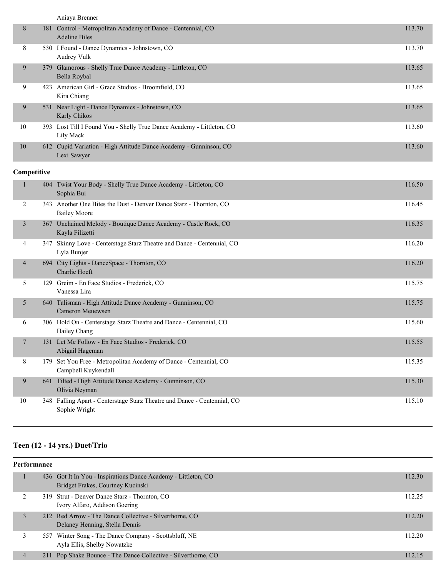| Aniava Brenner |
|----------------|
|                |

| 8           |     | 181 Control - Metropolitan Academy of Dance - Centennial, CO<br><b>Adeline Biles</b> | 113.70 |
|-------------|-----|--------------------------------------------------------------------------------------|--------|
| 8           |     | 530 I Found - Dance Dynamics - Johnstown, CO<br>Audrey Vulk                          | 113.70 |
| 9           | 379 | Glamorous - Shelly True Dance Academy - Littleton, CO<br>Bella Roybal                | 113.65 |
| 9           |     | 423 American Girl - Grace Studios - Broomfield, CO<br>Kira Chiang                    | 113.65 |
| 9           |     | 531 Near Light - Dance Dynamics - Johnstown, CO<br>Karly Chikos                      | 113.65 |
| 10          |     | 393 Lost Till I Found You - Shelly True Dance Academy - Littleton, CO<br>Lily Mack   | 113.60 |
| 10          |     | 612 Cupid Variation - High Attitude Dance Academy - Gunninson, CO<br>Lexi Sawyer     | 113.60 |
| Competitive |     |                                                                                      |        |

#### 1 404 Twist Your Body - Shelly True Dance Academy - Littleton, CO 116.50 Sophia Bui 2 343 Another One Bites the Dust - Denver Dance Starz - Thornton, CO 116.45 Bailey Moore 367 Unchained Melody - Boutique Dance Academy - Castle Rock, CO 116.35 Kayla Filizetti 4 347 Skinny Love - Centerstage Starz Theatre and Dance - Centennial, CO 116.20 Lyla Bunjer 4 694 City Lights - DanceSpace - Thornton, CO 116.20 Charlie Hoeft 5 129 Greim - En Face Studios - Frederick, CO 115.75 Vanessa Lira 5 640 Talisman - High Attitude Dance Academy - Gunninson, CO 115.75 Cameron Meuewsen 6 306 Hold On - Centerstage Starz Theatre and Dance - Centennial, CO 115.60 Hailey Chang 7 131 Let Me Follow - En Face Studios - Frederick, CO 115.55 Abigail Hageman 8 179 Set You Free - Metropolitan Academy of Dance - Centennial, CO 115.35 Campbell Kuykendall 9 641 Tilted - High Attitude Dance Academy - Gunninson, CO 115.30 Olivia Neyman 10 348 Falling Apart - Centerstage Starz Theatre and Dance - Centennial, CO 115.10 Sophie Wright

#### **Teen (12 - 14 yrs.) Duet/Trio**

| Performance |   |  |                                                                                                     |        |
|-------------|---|--|-----------------------------------------------------------------------------------------------------|--------|
|             |   |  | 436 Got It In You - Inspirations Dance Academy - Littleton, CO<br>Bridget Frakes, Courtney Kucinski | 112.30 |
|             |   |  | 319 Strut - Denver Dance Starz - Thornton, CO<br>Ivory Alfaro, Addison Goering                      | 112.25 |
|             | 3 |  | 212 Red Arrow - The Dance Collective - Silverthorne, CO.<br>Delaney Henning, Stella Dennis          | 112.20 |
|             |   |  | 557 Winter Song - The Dance Company - Scottsbluff, NE<br>Ayla Ellis, Shelby Nowatzke                | 112.20 |
|             | 4 |  | 211 Pop Shake Bounce - The Dance Collective - Silverthorne, CO                                      | 112.15 |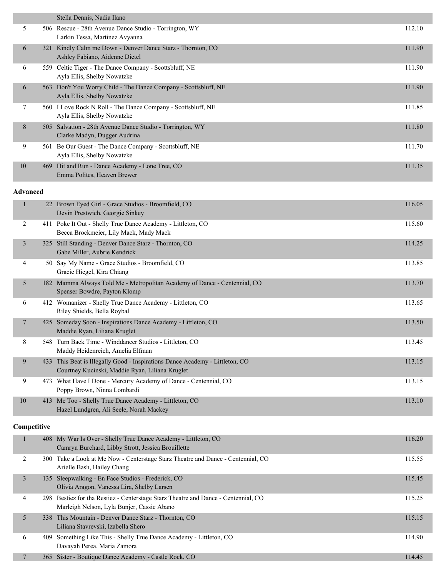|                         |     | Stella Dennis, Nadia Ilano                                                                                                       |        |
|-------------------------|-----|----------------------------------------------------------------------------------------------------------------------------------|--------|
| 5                       |     | 506 Rescue - 28th Avenue Dance Studio - Torrington, WY                                                                           | 112.10 |
|                         |     | Larkin Tessa, Martinez Avyanna                                                                                                   |        |
| 6                       |     | 321 Kindly Calm me Down - Denver Dance Starz - Thornton, CO<br>Ashley Fabiano, Aidenne Dietel                                    | 111.90 |
| 6                       |     | 559 Celtic Tiger - The Dance Company - Scottsbluff, NE<br>Ayla Ellis, Shelby Nowatzke                                            | 111.90 |
| 6                       |     | 563 Don't You Worry Child - The Dance Company - Scottsbluff, NE<br>Ayla Ellis, Shelby Nowatzke                                   | 111.90 |
| 7                       |     | 560 I Love Rock N Roll - The Dance Company - Scottsbluff, NE<br>Ayla Ellis, Shelby Nowatzke                                      | 111.85 |
| 8                       |     | 505 Salvation - 28th Avenue Dance Studio - Torrington, WY<br>Clarke Madyn, Dugger Audrina                                        | 111.80 |
| 9                       |     | 561 Be Our Guest - The Dance Company - Scottsbluff, NE<br>Ayla Ellis, Shelby Nowatzke                                            | 111.70 |
| 10                      |     | 469 Hit and Run - Dance Academy - Lone Tree, CO<br>Emma Polites, Heaven Brewer                                                   | 111.35 |
| <b>Advanced</b>         |     |                                                                                                                                  |        |
| $\mathbf{1}$            |     | 22 Brown Eyed Girl - Grace Studios - Broomfield, CO<br>Devin Prestwich, Georgie Sinkey                                           | 116.05 |
| 2                       |     | 411 Poke It Out - Shelly True Dance Academy - Littleton, CO<br>Becca Brockmeier, Lily Mack, Mady Mack                            | 115.60 |
| $\overline{\mathbf{3}}$ |     | 325 Still Standing - Denver Dance Starz - Thornton, CO<br>Gabe Miller, Aubrie Kendrick                                           | 114.25 |
| 4                       |     | 50 Say My Name - Grace Studios - Broomfield, CO<br>Gracie Hiegel, Kira Chiang                                                    | 113.85 |
| 5                       |     | 182 Mamma Always Told Me - Metropolitan Academy of Dance - Centennial, CO<br>Spenser Bowdre, Payton Klomp                        | 113.70 |
| 6                       |     | 412 Womanizer - Shelly True Dance Academy - Littleton, CO<br>Riley Shields, Bella Roybal                                         | 113.65 |
| 7                       |     | 425 Someday Soon - Inspirations Dance Academy - Littleton, CO<br>Maddie Ryan, Liliana Kruglet                                    | 113.50 |
| 8                       |     | 548 Turn Back Time - Winddancer Studios - Littleton, CO<br>Maddy Heidenreich, Amelia Elfman                                      | 113.45 |
| 9                       | 433 | This Beat is Illegally Good - Inspirations Dance Academy - Littleton, CO<br>Courtney Kucinski, Maddie Ryan, Liliana Kruglet      | 113.15 |
| 9                       |     | 473 What Have I Done - Mercury Academy of Dance - Centennial, CO<br>Poppy Brown, Ninna Lombardi                                  | 113.15 |
| 10                      |     | 413 Me Too - Shelly True Dance Academy - Littleton, CO<br>Hazel Lundgren, Ali Seele, Norah Mackey                                | 113.10 |
| Competitive             |     |                                                                                                                                  |        |
| $\mathbf{1}$            |     | 408 My War Is Over - Shelly True Dance Academy - Littleton, CO<br>Camryn Burchard, Libby Strott, Jessica Brouillette             | 116.20 |
| $\overline{2}$          |     | 300 Take a Look at Me Now - Centerstage Starz Theatre and Dance - Centennial, CO<br>Arielle Bash, Hailey Chang                   | 115.55 |
| 3                       |     | 135 Sleepwalking - En Face Studios - Frederick, CO<br>Olivia Aragon, Vanessa Lira, Shelby Larsen                                 | 115.45 |
| 4                       |     | 298 Bestiez for tha Restiez - Centerstage Starz Theatre and Dance - Centennial, CO<br>Marleigh Nelson, Lyla Bunjer, Cassie Abano | 115.25 |

|  | Marieigh Neison, Lyra Bunjer, Cassie Abano                          |        |
|--|---------------------------------------------------------------------|--------|
|  | 338 This Mountain - Denver Dance Starz - Thornton, CO               | 115.15 |
|  | Liliana Stavrevski, Izabella Shero                                  |        |
|  | 409 Something Like This - Shelly True Dance Academy - Littleton, CO | 114.90 |
|  | Davayah Perea, Maria Zamora                                         |        |
|  | 365 Sister - Boutique Dance Academy - Castle Rock, CO               | 114.45 |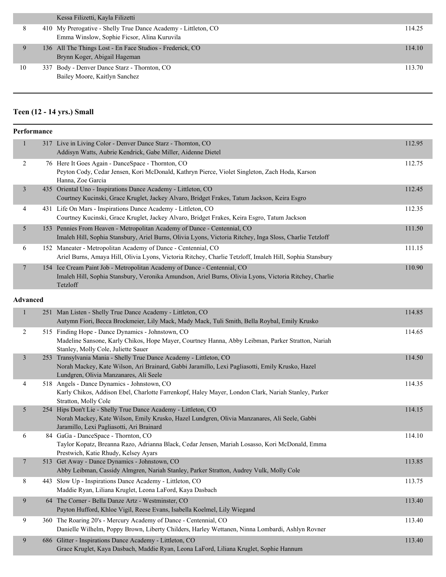|    | Kessa Filizetti, Kayla Filizetti                                                                              |        |
|----|---------------------------------------------------------------------------------------------------------------|--------|
|    | 410 My Prerogative - Shelly True Dance Academy - Littleton, CO<br>Emma Winslow, Sophie Ficsor, Alina Kuruvila | 114.25 |
|    | 136 All The Things Lost - En Face Studios - Frederick, CO<br>Brynn Koger, Abigail Hageman                     | 114.10 |
| 10 | 337 Body - Denver Dance Starz - Thornton, CO<br>Bailey Moore, Kaitlyn Sanchez                                 | 113.70 |

## **Teen (12 - 14 yrs.) Small**

|                 | Performance |                                                                                                                                                                                                                                                                                                                                                                                                                                                                                                                                                                                                                                                                                     |        |
|-----------------|-------------|-------------------------------------------------------------------------------------------------------------------------------------------------------------------------------------------------------------------------------------------------------------------------------------------------------------------------------------------------------------------------------------------------------------------------------------------------------------------------------------------------------------------------------------------------------------------------------------------------------------------------------------------------------------------------------------|--------|
| $\mathbf{1}$    |             | 317 Live in Living Color - Denver Dance Starz - Thornton, CO<br>Addisyn Watts, Aubrie Kendrick, Gabe Miller, Aidenne Dietel                                                                                                                                                                                                                                                                                                                                                                                                                                                                                                                                                         | 112.95 |
| 2               |             | 76 Here It Goes Again - DanceSpace - Thornton, CO<br>Peyton Cody, Cedar Jensen, Kori McDonald, Kathryn Pierce, Violet Singleton, Zach Hoda, Karson<br>Hanna, Zoe Garcia                                                                                                                                                                                                                                                                                                                                                                                                                                                                                                             | 112.75 |
| $\mathfrak{Z}$  |             | 435 Oriental Uno - Inspirations Dance Academy - Littleton, CO<br>Courtney Kucinski, Grace Kruglet, Jackey Alvaro, Bridget Frakes, Tatum Jackson, Keira Esgro                                                                                                                                                                                                                                                                                                                                                                                                                                                                                                                        | 112.45 |
| 4               |             | 431 Life On Mars - Inspirations Dance Academy - Littleton, CO<br>Courtney Kucinski, Grace Kruglet, Jackey Alvaro, Bridget Frakes, Keira Esgro, Tatum Jackson                                                                                                                                                                                                                                                                                                                                                                                                                                                                                                                        | 112.35 |
| 5               |             | 153 Pennies From Heaven - Metropolitan Academy of Dance - Centennial, CO<br>Imaleh Hill, Sophia Stansbury, Ariel Burns, Olivia Lyons, Victoria Ritchey, Inga Sloss, Charlie Tetzloff                                                                                                                                                                                                                                                                                                                                                                                                                                                                                                | 111.50 |
| 6               |             | 152 Maneater - Metropolitan Academy of Dance - Centennial, CO<br>Ariel Burns, Amaya Hill, Olivia Lyons, Victoria Ritchey, Charlie Tetzloff, Imaleh Hill, Sophia Stansbury                                                                                                                                                                                                                                                                                                                                                                                                                                                                                                           | 111.15 |
| $\overline{7}$  |             | 154 Ice Cream Paint Job - Metropolitan Academy of Dance - Centennial, CO<br>Imaleh Hill, Sophia Stansbury, Veronika Amundson, Ariel Burns, Olivia Lyons, Victoria Ritchey, Charlie<br>Tetzloff                                                                                                                                                                                                                                                                                                                                                                                                                                                                                      | 110.90 |
| <b>Advanced</b> |             |                                                                                                                                                                                                                                                                                                                                                                                                                                                                                                                                                                                                                                                                                     |        |
| $\mathbf{1}$    |             | 251 Man Listen - Shelly True Dance Academy - Littleton, CO<br>Autymn Fiori, Becca Brockmeier, Lily Mack, Mady Mack, Tuli Smith, Bella Roybal, Emily Krusko                                                                                                                                                                                                                                                                                                                                                                                                                                                                                                                          | 114.85 |
| 2               |             | 515 Finding Hope - Dance Dynamics - Johnstown, CO<br>Madeline Sansone, Karly Chikos, Hope Mayer, Courtney Hanna, Abby Leibman, Parker Stratton, Nariah<br>Stanley, Molly Cole, Juliette Sauer                                                                                                                                                                                                                                                                                                                                                                                                                                                                                       | 114.65 |
| $\overline{3}$  |             | 253 Transylvania Mania - Shelly True Dance Academy - Littleton, CO<br>Norah Mackey, Kate Wilson, Ari Brainard, Gabbi Jaramillo, Lexi Pagliasotti, Emily Krusko, Hazel<br>$\Omega^*$ $\overline{\Omega}$ $\overline{\Omega}$ $\overline{\Omega}$ $\overline{\Omega}$ $\overline{\Omega}$ $\overline{\Omega}$ $\overline{\Omega}$ $\overline{\Omega}$ $\overline{\Omega}$ $\overline{\Omega}$ $\overline{\Omega}$ $\overline{\Omega}$ $\overline{\Omega}$ $\overline{\Omega}$ $\overline{\Omega}$ $\overline{\Omega}$ $\overline{\Omega}$ $\overline{\Omega}$ $\overline{\Omega}$ $\overline{\Omega}$ $\overline{\Omega}$ $\overline{\Omega}$ $\overline{\Omega}$ $\overline{\Omega}$ | 114.50 |

|   |     | Norah Mackey, Kate Wilson, Ari Brainard, Gabbi Jaramillo, Lexi Pagliasotti, Emily Krusko, Hazel     |        |
|---|-----|-----------------------------------------------------------------------------------------------------|--------|
|   |     | Lundgren, Olivia Manzanares, Ali Seele                                                              |        |
| 4 |     | 518 Angels - Dance Dynamics - Johnstown, CO                                                         | 114.35 |
|   |     | Karly Chikos, Addison Ebel, Charlotte Farrenkopf, Haley Mayer, London Clark, Nariah Stanley, Parker |        |
|   |     | Stratton, Molly Cole                                                                                |        |
| 5 |     | 254 Hips Don't Lie - Shelly True Dance Academy - Littleton, CO                                      | 114.15 |
|   |     | Norah Mackey, Kate Wilson, Emily Krusko, Hazel Lundgren, Olivia Manzanares, Ali Seele, Gabbi        |        |
|   |     | Jaramillo, Lexi Pagliasotti, Ari Brainard                                                           |        |
| 6 |     | 84 GaGa - DanceSpace - Thornton, CO                                                                 | 114.10 |
|   |     | Taylor Kopatz, Breanna Razo, Adrianna Black, Cedar Jensen, Mariah Losasso, Kori McDonald, Emma      |        |
|   |     | Prestwich, Katie Rhudy, Kelsey Ayars                                                                |        |
| 7 |     | 513 Get Away - Dance Dynamics - Johnstown, CO                                                       | 113.85 |
|   |     | Abby Leibman, Cassidy Almgren, Nariah Stanley, Parker Stratton, Audrey Vulk, Molly Cole             |        |
| 8 | 443 | Slow Up - Inspirations Dance Academy - Littleton, CO                                                | 113.75 |
|   |     | Maddie Ryan, Liliana Kruglet, Leona LaFord, Kaya Dasbach                                            |        |
| 9 |     | 64 The Corner - Bella Danze Artz - Westminster, CO                                                  | 113.40 |
|   |     | Payton Hufford, Khloe Vigil, Reese Evans, Isabella Koelmel, Lily Wiegand                            |        |
| 9 |     | 360 The Roaring 20's - Mercury Academy of Dance - Centennial, CO                                    | 113.40 |
|   |     | Danielle Wilhelm, Poppy Brown, Liberty Childers, Harley Wettanen, Ninna Lombardi, Ashlyn Rovner     |        |
|   |     |                                                                                                     |        |
| 9 | 686 | Glitter - Inspirations Dance Academy - Littleton, CO                                                | 113.40 |
|   |     | Grace Kruglet, Kaya Dasbach, Maddie Ryan, Leona LaFord, Liliana Kruglet, Sophie Hannum              |        |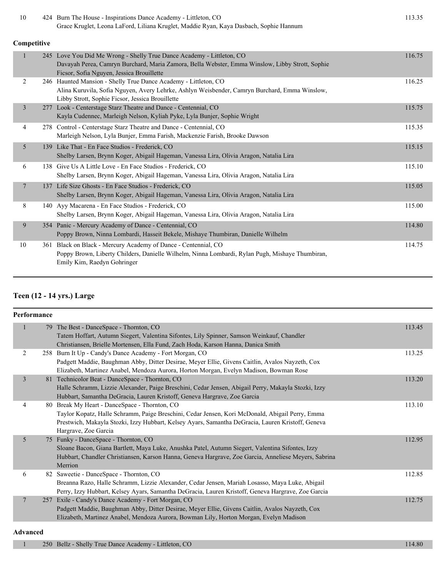| 10          |     | 424 Burn The House - Inspirations Dance Academy - Littleton, CO<br>Grace Kruglet, Leona LaFord, Liliana Kruglet, Maddie Ryan, Kaya Dasbach, Sophie Hannum                                                             | 113.35 |  |  |
|-------------|-----|-----------------------------------------------------------------------------------------------------------------------------------------------------------------------------------------------------------------------|--------|--|--|
| Competitive |     |                                                                                                                                                                                                                       |        |  |  |
|             |     | 245 Love You Did Me Wrong - Shelly True Dance Academy - Littleton, CO<br>Davayah Perea, Camryn Burchard, Maria Zamora, Bella Webster, Emma Winslow, Libby Strott, Sophie<br>Ficsor, Sofia Nguyen, Jessica Brouillette | 116.75 |  |  |
| 2           |     | 246 Haunted Mansion - Shelly True Dance Academy - Littleton, CO<br>Alina Kuruvila, Sofia Nguyen, Avery Lehrke, Ashlyn Weisbender, Camryn Burchard, Emma Winslow,<br>Libby Strott, Sophie Ficsor, Jessica Brouillette  | 116.25 |  |  |
| 3           | 277 | Look - Centerstage Starz Theatre and Dance - Centennial, CO<br>Kayla Cudennec, Marleigh Nelson, Kyliah Pyke, Lyla Bunjer, Sophie Wright                                                                               | 115.75 |  |  |
| 4           |     | 278 Control - Centerstage Starz Theatre and Dance - Centennial, CO<br>Marleigh Nelson, Lyla Bunjer, Emma Farish, Mackenzie Farish, Brooke Dawson                                                                      | 115.35 |  |  |
| 5           |     | 139 Like That - En Face Studios - Frederick, CO<br>Shelby Larsen, Brynn Koger, Abigail Hageman, Vanessa Lira, Olivia Aragon, Natalia Lira                                                                             | 115.15 |  |  |
| 6           |     | 138 Give Us A Little Love - En Face Studios - Frederick, CO<br>Shelby Larsen, Brynn Koger, Abigail Hageman, Vanessa Lira, Olivia Aragon, Natalia Lira                                                                 | 115.10 |  |  |
| $\tau$      |     | 137 Life Size Ghosts - En Face Studios - Frederick, CO<br>Shelby Larsen, Brynn Koger, Abigail Hageman, Vanessa Lira, Olivia Aragon, Natalia Lira                                                                      | 115.05 |  |  |
| 8           |     | 140 Ayy Macarena - En Face Studios - Frederick, CO<br>Shelby Larsen, Brynn Koger, Abigail Hageman, Vanessa Lira, Olivia Aragon, Natalia Lira                                                                          | 115.00 |  |  |
| 9           |     | 354 Panic - Mercury Academy of Dance - Centennial, CO<br>Poppy Brown, Ninna Lombardi, Hasseit Bekele, Mishaye Thumbiran, Danielle Wilhelm                                                                             | 114.80 |  |  |
| 10          |     | 361 Black on Black - Mercury Academy of Dance - Centennial, CO<br>Poppy Brown, Liberty Childers, Danielle Wilhelm, Ninna Lombardi, Rylan Pugh, Mishaye Thumbiran,<br>Emily Kim, Raedyn Gohringer                      | 114.75 |  |  |

#### **Teen (12 - 14 yrs.) Large**

| Performance    |     |                                                                                                                                                                                                                                                                               |        |  |
|----------------|-----|-------------------------------------------------------------------------------------------------------------------------------------------------------------------------------------------------------------------------------------------------------------------------------|--------|--|
| $\mathbf{1}$   |     | 79 The Best - DanceSpace - Thornton, CO<br>Tatem Hoffart, Autumn Siegert, Valentina Sifontes, Lily Spinner, Samson Weinkauf, Chandler<br>Christiansen, Brielle Mortensen, Ella Fund, Zach Hoda, Karson Hanna, Danica Smith                                                    | 113.45 |  |
| $\overline{2}$ |     | 258 Burn It Up - Candy's Dance Academy - Fort Morgan, CO<br>Padgett Maddie, Baughman Abby, Ditter Desirae, Meyer Ellie, Givens Caitlin, Avalos Nayzeth, Cox<br>Elizabeth, Martinez Anabel, Mendoza Aurora, Horton Morgan, Evelyn Madison, Bowman Rose                         | 113.25 |  |
| $\mathfrak{Z}$ |     | 81 Technicolor Beat - DanceSpace - Thornton, CO<br>Halle Schramm, Lizzie Alexander, Paige Breschini, Cedar Jensen, Abigail Perry, Makayla Stozki, Izzy<br>Hubbart, Samantha DeGracia, Lauren Kristoff, Geneva Hargrave, Zoe Garcia                                            | 113.20 |  |
| 4              |     | 80 Break My Heart - DanceSpace - Thornton, CO<br>Taylor Kopatz, Halle Schramm, Paige Breschini, Cedar Jensen, Kori McDonald, Abigail Perry, Emma<br>Prestwich, Makayla Stozki, Izzy Hubbart, Kelsey Ayars, Samantha DeGracia, Lauren Kristoff, Geneva<br>Hargrave, Zoe Garcia | 113.10 |  |
| 5              |     | 75 Funky - DanceSpace - Thornton, CO<br>Sloane Bacon, Giana Bartlett, Maya Luke, Anushka Patel, Autumn Siegert, Valentina Sifontes, Izzy<br>Hubbart, Chandler Christiansen, Karson Hanna, Geneva Hargrave, Zoe Garcia, Anneliese Meyers, Sabrina<br>Merrion                   | 112.95 |  |
| 6              |     | 82 Saweetie - DanceSpace - Thornton, CO<br>Breanna Razo, Halle Schramm, Lizzie Alexander, Cedar Jensen, Mariah Losasso, Maya Luke, Abigail<br>Perry, Izzy Hubbart, Kelsey Ayars, Samantha DeGracia, Lauren Kristoff, Geneva Hargrave, Zoe Garcia                              | 112.85 |  |
| $\overline{7}$ | 257 | Exile - Candy's Dance Academy - Fort Morgan, CO<br>Padgett Maddie, Baughman Abby, Ditter Desirae, Meyer Ellie, Givens Caitlin, Avalos Nayzeth, Cox<br>Elizabeth, Martinez Anabel, Mendoza Aurora, Bowman Lily, Horton Morgan, Evelyn Madison                                  | 112.75 |  |

#### **Advanced**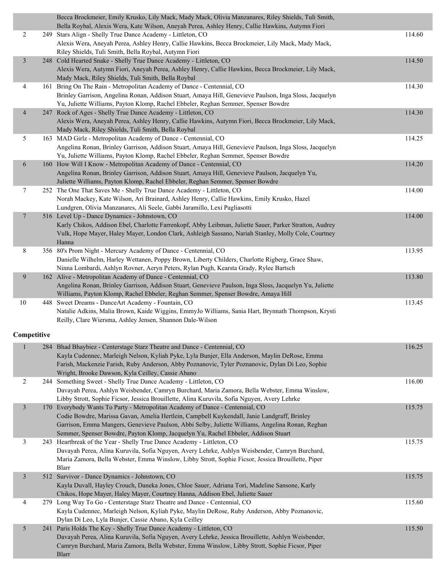|                         | Becca Brockmeier, Emily Krusko, Lily Mack, Mady Mack, Olivia Manzanares, Riley Shields, Tuli Smith,<br>Bella Roybal, Alexis Wera, Kate Wilson, Aneyah Perea, Ashley Henry, Callie Hawkins, Autymn Fiori |        |
|-------------------------|---------------------------------------------------------------------------------------------------------------------------------------------------------------------------------------------------------|--------|
| $\overline{c}$          | 249 Stars Align - Shelly True Dance Academy - Littleton, CO                                                                                                                                             | 114.60 |
|                         | Alexis Wera, Aneyah Perea, Ashley Henry, Callie Hawkins, Becca Brockmeier, Lily Mack, Mady Mack,<br>Riley Shields, Tuli Smith, Bella Roybal, Autymn Fiori                                               |        |
| $\overline{\mathbf{3}}$ | 248 Cold Hearted Snake - Shelly True Dance Academy - Littleton, CO                                                                                                                                      | 114.50 |
|                         | Alexis Wera, Autymn Fiori, Aneyah Perea, Ashley Henry, Callie Hawkins, Becca Brockmeier, Lily Mack,                                                                                                     |        |
|                         | Mady Mack, Riley Shields, Tuli Smith, Bella Roybal                                                                                                                                                      |        |
| 4                       | 161 Bring On The Rain - Metropolitan Academy of Dance - Centennial, CO                                                                                                                                  | 114.30 |
|                         | Brinley Garrison, Angelina Ronan, Addison Stuart, Amaya Hill, Genevieve Paulson, Inga Sloss, Jacquelyn                                                                                                  |        |
|                         | Yu, Juliette Williams, Payton Klomp, Rachel Ebbeler, Reghan Semmer, Spenser Bowdre                                                                                                                      |        |
| $\overline{4}$          | 247 Rock of Ages - Shelly True Dance Academy - Littleton, CO                                                                                                                                            | 114.30 |
|                         | Alexis Wera, Aneyah Perea, Ashley Henry, Callie Hawkins, Autymn Fiori, Becca Brockmeier, Lily Mack,                                                                                                     |        |
|                         | Mady Mack, Riley Shields, Tuli Smith, Bella Roybal                                                                                                                                                      |        |
| 5                       | 163 MAD Girlz - Metropolitan Academy of Dance - Centennial, CO                                                                                                                                          | 114.25 |
|                         | Angelina Ronan, Brinley Garrison, Addison Stuart, Amaya Hill, Genevieve Paulson, Inga Sloss, Jacquelyn                                                                                                  |        |
|                         |                                                                                                                                                                                                         |        |
|                         | Yu, Juliette Williams, Payton Klomp, Rachel Ebbeler, Reghan Semmer, Spenser Bowdre                                                                                                                      |        |
| 6                       | 160 How Will I Know - Metropolitan Academy of Dance - Centennial, CO                                                                                                                                    | 114.20 |
|                         | Angelina Ronan, Brinley Garrison, Addison Stuart, Amaya Hill, Genevieve Paulson, Jacquelyn Yu,                                                                                                          |        |
|                         | Juliette Williams, Payton Klomp, Rachel Ebbeler, Reghan Semmer, Spenser Bowdre                                                                                                                          |        |
| 7                       | 252 The One That Saves Me - Shelly True Dance Academy - Littleton, CO                                                                                                                                   | 114.00 |
|                         | Norah Mackey, Kate Wilson, Ari Brainard, Ashley Henry, Callie Hawkins, Emily Krusko, Hazel                                                                                                              |        |
|                         | Lundgren, Olivia Manzanares, Ali Seele, Gabbi Jaramillo, Lexi Pagliasotti                                                                                                                               |        |
| $\overline{7}$          | 516 Level Up - Dance Dynamics - Johnstown, CO                                                                                                                                                           | 114.00 |
|                         | Karly Chikos, Addison Ebel, Charlotte Farrenkopf, Abby Leibman, Juliette Sauer, Parker Stratton, Audrey                                                                                                 |        |
|                         | Vulk, Hope Mayer, Haley Mayer, London Clark, Ashleigh Sassano, Nariah Stanley, Molly Cole, Courtney                                                                                                     |        |
|                         | Hanna                                                                                                                                                                                                   |        |
| 8                       | 356 80's Prom Night - Mercury Academy of Dance - Centennial, CO                                                                                                                                         | 113.95 |
|                         | Danielle Wilhelm, Harley Wettanen, Poppy Brown, Liberty Childers, Charlotte Rigberg, Grace Shaw,                                                                                                        |        |
|                         | Ninna Lombardi, Ashlyn Rovner, Aeryn Peters, Rylan Pugh, Kearsta Grady, Rylee Bartsch                                                                                                                   |        |
| 9                       | 162 Alive - Metropolitan Academy of Dance - Centennial, CO                                                                                                                                              | 113.80 |
|                         | Angelina Ronan, Brinley Garrison, Addison Stuart, Genevieve Paulson, Inga Sloss, Jacquelyn Yu, Juliette                                                                                                 |        |
|                         | Williams, Payton Klomp, Rachel Ebbeler, Reghan Semmer, Spenser Bowdre, Amaya Hill                                                                                                                       |        |
| 10                      | 448 Sweet Dreams - DanceArt Academy - Fountain, CO                                                                                                                                                      | 113.45 |
|                         | Natalie Adkins, Malia Brown, Kaide Wiggins, EmmyJo Williams, Sania Hart, Brynnath Thompson, Krysti                                                                                                      |        |
|                         | Reilly, Clare Wiersma, Ashley Jensen, Shannon Dale-Wilson                                                                                                                                               |        |
|                         |                                                                                                                                                                                                         |        |
| Competitive             |                                                                                                                                                                                                         |        |
| $\mathbf{1}$            | 284 Bhad Bhaybiez - Centerstage Starz Theatre and Dance - Centennial, CO                                                                                                                                | 116.25 |
|                         | Kayla Cudennec, Marleigh Nelson, Kyliah Pyke, Lyla Bunjer, Ella Anderson, Maylin DeRose, Emma                                                                                                           |        |
|                         | Farish, Mackenzie Farish, Ruby Anderson, Abby Poznanovic, Tyler Poznanovic, Dylan Di Leo, Sophie                                                                                                        |        |
|                         | Wright, Brooke Dawson, Kyla Ceilley, Cassie Abano                                                                                                                                                       |        |
| $\overline{c}$          | 244 Something Sweet - Shelly True Dance Academy - Littleton, CO                                                                                                                                         | 116.00 |
|                         | Davayah Perea, Ashlyn Weisbender, Camryn Burchard, Maria Zamora, Bella Webster, Emma Winslow,                                                                                                           |        |
|                         | Libby Strott, Sophie Ficsor, Jessica Brouillette, Alina Kuruvila, Sofia Nguyen, Avery Lehrke                                                                                                            |        |
| $\mathfrak{Z}$          | 170 Everybody Wants To Party - Metropolitan Academy of Dance - Centennial, CO                                                                                                                           | 115.75 |
|                         | Codie Bowdre, Marissa Gavan, Amelia Hertlein, Campbell Kuykendall, Janie Landgraff, Brinley                                                                                                             |        |
|                         | Garrison, Emma Mangers, Genevieve Paulson, Abbi Selby, Juliette Williams, Angelina Ronan, Reghan                                                                                                        |        |
|                         | Semmer, Spenser Bowdre, Payton Klomp, Jacquelyn Yu, Rachel Ebbeler, Addison Stuart                                                                                                                      |        |
| $\mathfrak{Z}$          | 243 Heartbreak of the Year - Shelly True Dance Academy - Littleton, CO                                                                                                                                  | 115.75 |
|                         | Davayah Perea, Alina Kuruvila, Sofia Nguyen, Avery Lehrke, Ashlyn Weisbender, Camryn Burchard,                                                                                                          |        |
|                         | Maria Zamora, Bella Webster, Emma Winslow, Libby Strott, Sophie Ficsor, Jessica Brouillette, Piper                                                                                                      |        |
|                         | Blarr                                                                                                                                                                                                   |        |
| $\mathfrak{Z}$          | 512 Survivor - Dance Dynamics - Johnstown, CO                                                                                                                                                           | 115.75 |
|                         | Kayla Duvall, Hayley Crouch, Daneka Jones, Chloe Sauer, Adriana Tori, Madeline Sansone, Karly                                                                                                           |        |
|                         | Chikos, Hope Mayer, Haley Mayer, Courtney Hanna, Addison Ebel, Juliette Sauer                                                                                                                           |        |
| 4                       | 279 Long Way To Go - Centerstage Starz Theatre and Dance - Centennial, CO                                                                                                                               | 115.60 |
|                         | Kayla Cudennec, Marleigh Nelson, Kyliah Pyke, Maylin DeRose, Ruby Anderson, Abby Poznanovic,                                                                                                            |        |
|                         | Dylan Di Leo, Lyla Bunjer, Cassie Abano, Kyla Ceilley                                                                                                                                                   |        |
| 5                       | 241 Paris Holds The Key - Shelly True Dance Academy - Littleton, CO                                                                                                                                     | 115.50 |
|                         | Davayah Perea, Alina Kuruvila, Sofia Nguyen, Avery Lehrke, Jessica Brouillette, Ashlyn Weisbender,                                                                                                      |        |
|                         |                                                                                                                                                                                                         |        |
|                         | Camryn Burchard, Maria Zamora, Bella Webster, Emma Winslow, Libby Strott, Sophie Ficsor, Piper                                                                                                          |        |
|                         | <b>Blarr</b>                                                                                                                                                                                            |        |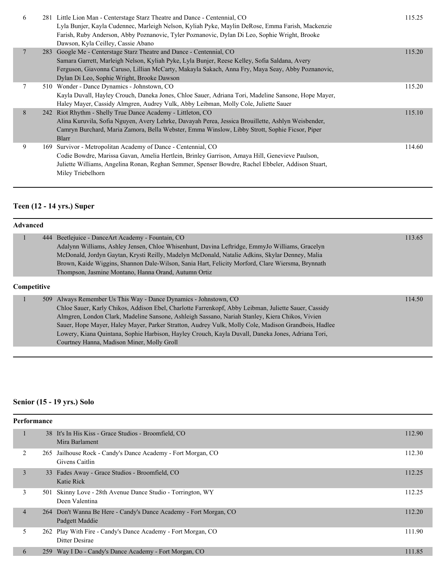| 6 | 281 Little Lion Man - Centerstage Starz Theatre and Dance - Centennial, CO<br>Lyla Bunjer, Kayla Cudennec, Marleigh Nelson, Kyliah Pyke, Maylin DeRose, Emma Farish, Mackenzie<br>Farish, Ruby Anderson, Abby Poznanovic, Tyler Poznanovic, Dylan Di Leo, Sophie Wright, Brooke<br>Dawson, Kyla Ceilley, Cassie Abano    | 115.25 |
|---|--------------------------------------------------------------------------------------------------------------------------------------------------------------------------------------------------------------------------------------------------------------------------------------------------------------------------|--------|
|   | 283 Google Me - Centerstage Starz Theatre and Dance - Centennial, CO<br>Samara Garrett, Marleigh Nelson, Kyliah Pyke, Lyla Bunjer, Reese Kelley, Sofia Saldana, Avery<br>Ferguson, Giavonna Caruso, Lillian McCarty, Makayla Sakach, Anna Fry, Maya Seay, Abby Poznanovic,<br>Dylan Di Leo, Sophie Wright, Brooke Dawson | 115.20 |
|   | 510 Wonder - Dance Dynamics - Johnstown, CO<br>Kayla Duvall, Hayley Crouch, Daneka Jones, Chloe Sauer, Adriana Tori, Madeline Sansone, Hope Mayer,<br>Haley Mayer, Cassidy Almgren, Audrey Vulk, Abby Leibman, Molly Cole, Juliette Sauer                                                                                | 115.20 |
| 8 | 242 Riot Rhythm - Shelly True Dance Academy - Littleton, CO<br>Alina Kuruvila, Sofia Nguyen, Avery Lehrke, Davayah Perea, Jessica Brouillette, Ashlyn Weisbender,<br>Camryn Burchard, Maria Zamora, Bella Webster, Emma Winslow, Libby Strott, Sophie Ficsor, Piper<br>Blarr                                             | 115.10 |
| 9 | 169 Survivor - Metropolitan Academy of Dance - Centennial, CO<br>Codie Bowdre, Marissa Gavan, Amelia Hertlein, Brinley Garrison, Amaya Hill, Genevieve Paulson,<br>Juliette Williams, Angelina Ronan, Reghan Semmer, Spenser Bowdre, Rachel Ebbeler, Addison Stuart,<br>Miley Triebelhorn                                | 114.60 |

# **Teen (12 - 14 yrs.) Super**

| <b>Advanced</b> |     |                                                                                                      |        |
|-----------------|-----|------------------------------------------------------------------------------------------------------|--------|
|                 | 444 | Beetlejuice - Dance Art Academy - Fountain, CO                                                       | 113.65 |
|                 |     | Adalynn Williams, Ashley Jensen, Chloe Whisenhunt, Davina Leftridge, EmmyJo Williams, Gracelyn       |        |
|                 |     | McDonald, Jordyn Gaytan, Krysti Reilly, Madelyn McDonald, Natalie Adkins, Skylar Denney, Malia       |        |
|                 |     | Brown, Kaide Wiggins, Shannon Dale-Wilson, Sania Hart, Felicity Morford, Clare Wiersma, Brynnath     |        |
|                 |     | Thompson, Jasmine Montano, Hanna Orand, Autumn Ortiz                                                 |        |
|                 |     |                                                                                                      |        |
| Competitive     |     |                                                                                                      |        |
|                 | 509 | Always Remember Us This Way - Dance Dynamics - Johnstown, CO                                         | 114.50 |
|                 |     | Chloe Sauer, Karly Chikos, Addison Ebel, Charlotte Farrenkopf, Abby Leibman, Juliette Sauer, Cassidy |        |
|                 |     | Almgren, London Clark, Madeline Sansone, Ashleigh Sassano, Nariah Stanley, Kiera Chikos, Vivien      |        |
|                 |     | Sauer, Hope Mayer, Haley Mayer, Parker Stratton, Audrey Vulk, Molly Cole, Madison Grandbois, Hadlee  |        |
|                 |     | Lowery, Kiana Quintana, Sophie Harbison, Hayley Crouch, Kayla Duvall, Daneka Jones, Adriana Tori,    |        |

#### **Senior (15 - 19 yrs.) Solo**

|                | <b>Performance</b> |                                                                                     |        |  |  |
|----------------|--------------------|-------------------------------------------------------------------------------------|--------|--|--|
|                |                    | 38 It's In His Kiss - Grace Studios - Broomfield, CO<br>Mira Barlament              | 112.90 |  |  |
| 2              | 265                | Jailhouse Rock - Candy's Dance Academy - Fort Morgan, CO<br>Givens Caitlin          | 112.30 |  |  |
| 3              |                    | 33 Fades Away - Grace Studios - Broomfield, CO<br>Katie Rick                        | 112.25 |  |  |
| 3              | 501                | Skinny Love - 28th Avenue Dance Studio - Torrington, WY<br>Deen Valentina           | 112.25 |  |  |
| $\overline{4}$ |                    | 264 Don't Wanna Be Here - Candy's Dance Academy - Fort Morgan, CO<br>Padgett Maddie | 112.20 |  |  |
| 5              |                    | 262 Play With Fire - Candy's Dance Academy - Fort Morgan, CO<br>Ditter Desirae      | 111.90 |  |  |
| 6              | 259                | Way I Do - Candy's Dance Academy - Fort Morgan, CO                                  | 111.85 |  |  |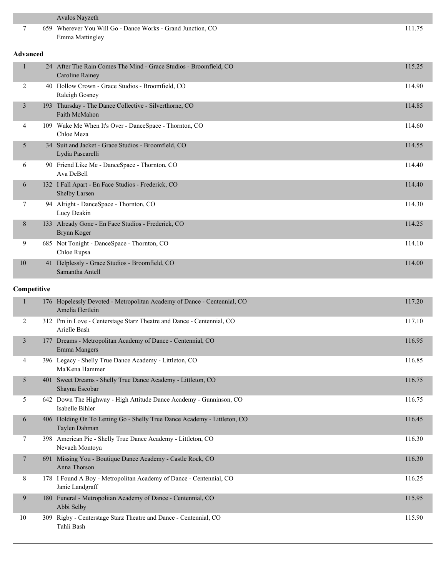|                 | Avalos Nayzeth                                                                             |        |
|-----------------|--------------------------------------------------------------------------------------------|--------|
| 7               | 659 Wherever You Will Go - Dance Works - Grand Junction, CO<br><b>Emma Mattingley</b>      | 111.75 |
| <b>Advanced</b> |                                                                                            |        |
| 1               | 24 After The Rain Comes The Mind - Grace Studios - Broomfield, CO<br>Caroline Rainey       | 115.25 |
| 2               | 40 Hollow Crown - Grace Studios - Broomfield, CO<br>Raleigh Gosney                         | 114.90 |
| 3               | 193 Thursday - The Dance Collective - Silverthorne, CO<br>Faith McMahon                    | 114.85 |
| $\overline{4}$  | 109 Wake Me When It's Over - DanceSpace - Thornton, CO<br>Chloe Meza                       | 114.60 |
| 5               | 34 Suit and Jacket - Grace Studios - Broomfield, CO<br>Lydia Pascarelli                    | 114.55 |
| 6               | 90 Friend Like Me - DanceSpace - Thornton, CO<br>Ava DeBell                                | 114.40 |
| 6               | 132 I Fall Apart - En Face Studios - Frederick, CO<br>Shelby Larsen                        | 114.40 |
| 7               | 94 Alright - DanceSpace - Thornton, CO<br>Lucy Deakin                                      | 114.30 |
| 8               | 133 Already Gone - En Face Studios - Frederick, CO<br>Brynn Koger                          | 114.25 |
| 9               | 685 Not Tonight - DanceSpace - Thornton, CO<br>Chloe Rupsa                                 | 114.10 |
| 10              | 41 Helplessly - Grace Studios - Broomfield, CO<br>Samantha Antell                          | 114.00 |
| Competitive     |                                                                                            |        |
| $\mathbf{1}$    | 176 Hopelessly Devoted - Metropolitan Academy of Dance - Centennial, CO<br>Amelia Hertlein | 117.20 |
| 2               | 312 I'm in Love - Centerstage Starz Theatre and Dance - Centennial, CO<br>Arielle Bash     | 117.10 |
| $\overline{3}$  | 177 Dreams - Metropolitan Academy of Dance - Centennial, CO<br>Emma Mangers                | 116.95 |
| 4               | 396 Legacy - Shelly True Dance Academy - Littleton, CO<br>Ma'Kena Hammer                   | 116.85 |
| 5               | 401 Sweet Dreams - Shelly True Dance Academy - Littleton, CO<br>Shayna Escobar             | 116.75 |
| 5               | 642 Down The Highway - High Attitude Dance Academy - Gunninson, CO<br>Isabelle Bihler      | 116.75 |
| 6               | 406 Holding On To Letting Go - Shelly True Dance Academy - Littleton, CO<br>Taylen Dahman  | 116.45 |
| 7               | 398 American Pie - Shelly True Dance Academy - Littleton, CO<br>Nevaeh Montoya             | 116.30 |
| $\tau$          | 691 Missing You - Boutique Dance Academy - Castle Rock, CO<br>Anna Thorson                 | 116.30 |
| 8               | 178 I Found A Boy - Metropolitan Academy of Dance - Centennial, CO<br>Janie Landgraff      | 116.25 |
| 9               | 180 Funeral - Metropolitan Academy of Dance - Centennial, CO<br>Abbi Selby                 | 115.95 |
| 10              | 309 Rigby - Centerstage Starz Theatre and Dance - Centennial, CO<br>Tahli Bash             | 115.90 |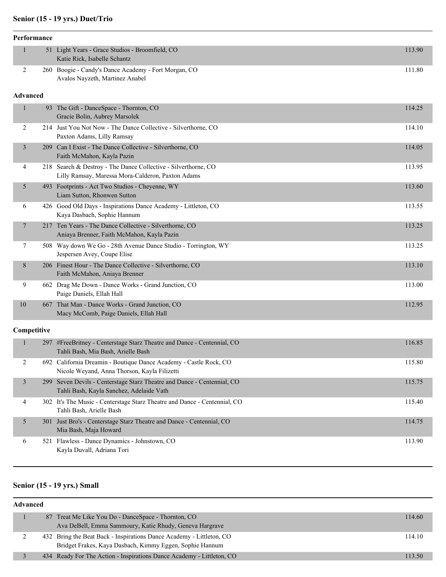#### **Senior (15 - 19 yrs.) Duet/Trio**

|              | Performance     |                                                                                                                     |        |
|--------------|-----------------|---------------------------------------------------------------------------------------------------------------------|--------|
| $\mathbf{1}$ |                 | 51 Light Years - Grace Studios - Broomfield, CO<br>Katie Rick, Isabelle Schantz                                     | 113.90 |
| 2            |                 | 260 Boogie - Candy's Dance Academy - Fort Morgan, CO<br>Avalos Nayzeth, Martinez Anabel                             | 111.80 |
|              | <b>Advanced</b> |                                                                                                                     |        |
| $\mathbf{1}$ |                 | 93 The Gift - DanceSpace - Thornton, CO<br>Gracie Bolin, Aubrey Marsolek                                            | 114.25 |
| 2            |                 | 214 Just You Not Now - The Dance Collective - Silverthorne, CO<br>Paxton Adams, Lilly Ramsay                        | 114.10 |
| 3            |                 | 209 Can I Exist - The Dance Collective - Silverthorne, CO<br>Faith McMahon, Kayla Pazin                             | 114.05 |
| 4            |                 | 218 Search & Destroy - The Dance Collective - Silverthorne, CO<br>Lilly Ramsay, Maressa Mora-Calderon, Paxton Adams | 113.95 |
| 5            |                 | 493 Footprints - Act Two Studios - Cheyenne, WY<br>Liam Sutton, Rhonwen Sutton                                      | 113.60 |
| 6            |                 | 426 Good Old Days - Inspirations Dance Academy - Littleton, CO<br>Kaya Dasbach, Sophie Hannum                       | 113.55 |
| $\tau$       |                 | 217 Ten Years - The Dance Collective - Silverthorne, CO<br>Aniaya Brenner, Faith McMahon, Kayla Pazin               | 113.25 |
| 7            |                 | 508 Way down We Go - 28th Avenue Dance Studio - Torrington, WY<br>Jespersen Avey, Coupe Elise                       | 113.25 |
| 8            |                 | 206 Finest Hour - The Dance Collective - Silverthorne, CO<br>Faith McMahon, Aniaya Brenner                          | 113.10 |
| 9            |                 | 662 Drag Me Down - Dance Works - Grand Junction, CO<br>Paige Daniels, Ellah Hall                                    | 113.00 |
| 10           |                 | 667 That Man - Dance Works - Grand Junction, CO<br>Macy McComb, Paige Daniels, Ellah Hall                           | 112.95 |
|              | Competitive     |                                                                                                                     |        |
| 1            |                 | 297 #FreeBritney - Centerstage Starz Theatre and Dance - Centennial, CO<br>Tahli Bash, Mia Bash, Arielle Bash       | 116.85 |
| $\sqrt{2}$   |                 | 692 California Dreamin - Boutique Dance Academy - Castle Rock, CO<br>Nicole Weyand, Anna Thorson, Kayla Filizetti   | 115.80 |
| 3            | 299             | Seven Devils - Centerstage Starz Theatre and Dance - Centennial, CO<br>Tahli Bash, Kayla Sanchez, Adelaide Vath     | 115.75 |
| 4            |                 | 302 It's The Music - Centerstage Starz Theatre and Dance - Centennial, CO<br>Tahli Bash, Arielle Bash               | 115.40 |
| 5            |                 | 301 Just Bro's - Centerstage Starz Theatre and Dance - Centennial, CO<br>Mia Bash, Maja Howard                      | 114.75 |
| 6            |                 | 521 Flawless - Dance Dynamics - Johnstown, CO<br>Kayla Duvall, Adriana Tori                                         | 113.90 |

#### **Senior (15 - 19 yrs.) Small**

| <b>Advanced</b> |  |                                                                                                                                  |        |  |  |
|-----------------|--|----------------------------------------------------------------------------------------------------------------------------------|--------|--|--|
|                 |  | 87 Treat Me Like You Do - DanceSpace - Thornton, CO<br>Ava DeBell, Emma Sammoury, Katie Rhudy, Geneva Hargrave                   | 114.60 |  |  |
|                 |  | 432 Bring the Beat Back - Inspirations Dance Academy - Littleton, CO<br>Bridget Frakes, Kaya Dasbach, Kimmy Eggen, Sophie Hannum | 114.10 |  |  |
|                 |  | 434 Ready For The Action - Inspirations Dance Academy - Littleton, CO                                                            | 113.50 |  |  |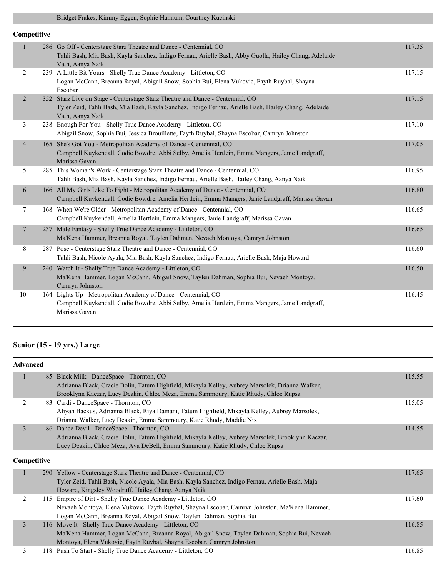#### Bridget Frakes, Kimmy Eggen, Sophie Hannum, Courtney Kucinski

| Competitive    |                                                                                                                                                                                                            |        |
|----------------|------------------------------------------------------------------------------------------------------------------------------------------------------------------------------------------------------------|--------|
| 1              | 286 Go Off - Centerstage Starz Theatre and Dance - Centennial, CO<br>Tahli Bash, Mia Bash, Kayla Sanchez, Indigo Fernau, Arielle Bash, Abby Guolla, Hailey Chang, Adelaide<br>Vath, Aanya Naik             | 117.35 |
| 2              | 239 A Little Bit Yours - Shelly True Dance Academy - Littleton, CO<br>Logan McCann, Breanna Royal, Abigail Snow, Sophia Bui, Elena Vukovic, Fayth Ruybal, Shayna<br>Escobar                                | 117.15 |
| $\overline{2}$ | 352 Starz Live on Stage - Centerstage Starz Theatre and Dance - Centennial, CO<br>Tyler Zeid, Tahli Bash, Mia Bash, Kayla Sanchez, Indigo Fernau, Arielle Bash, Hailey Chang, Adelaide<br>Vath, Aanya Naik | 117.15 |
| 3              | 238 Enough For You - Shelly True Dance Academy - Littleton, CO<br>Abigail Snow, Sophia Bui, Jessica Brouillette, Fayth Ruybal, Shayna Escobar, Camryn Johnston                                             | 117.10 |
| $\overline{4}$ | 165 She's Got You - Metropolitan Academy of Dance - Centennial, CO<br>Campbell Kuykendall, Codie Bowdre, Abbi Selby, Amelia Hertlein, Emma Mangers, Janie Landgraff,<br>Marissa Gavan                      | 117.05 |
| 5              | 285 This Woman's Work - Centerstage Starz Theatre and Dance - Centennial, CO<br>Tahli Bash, Mia Bash, Kayla Sanchez, Indigo Fernau, Arielle Bash, Hailey Chang, Aanya Naik                                 | 116.95 |
| 6              | 166 All My Girls Like To Fight - Metropolitan Academy of Dance - Centennial, CO<br>Campbell Kuykendall, Codie Bowdre, Amelia Hertlein, Emma Mangers, Janie Landgraff, Marissa Gavan                        | 116.80 |
| 7              | 168 When We're Older - Metropolitan Academy of Dance - Centennial, CO<br>Campbell Kuykendall, Amelia Hertlein, Emma Mangers, Janie Landgraff, Marissa Gavan                                                | 116.65 |
| $\overline{7}$ | 237 Male Fantasy - Shelly True Dance Academy - Littleton, CO<br>Ma'Kena Hammer, Breanna Royal, Taylen Dahman, Nevaeh Montoya, Camryn Johnston                                                              | 116.65 |
| 8              | 287 Pose - Centerstage Starz Theatre and Dance - Centennial, CO<br>Tahli Bash, Nicole Ayala, Mia Bash, Kayla Sanchez, Indigo Fernau, Arielle Bash, Maja Howard                                             | 116.60 |
| 9              | 240 Watch It - Shelly True Dance Academy - Littleton, CO<br>Ma'Kena Hammer, Logan McCann, Abigail Snow, Taylen Dahman, Sophia Bui, Nevaeh Montoya,<br>Camryn Johnston                                      | 116.50 |
| 10             | 164 Lights Up - Metropolitan Academy of Dance - Centennial, CO<br>Campbell Kuykendall, Codie Bowdre, Abbi Selby, Amelia Hertlein, Emma Mangers, Janie Landgraff,<br>Marissa Gavan                          | 116.45 |

# **Senior (15 - 19 yrs.) Large**

| <b>Advanced</b> |  |                                                                                                                                                                                                                                         |        |  |
|-----------------|--|-----------------------------------------------------------------------------------------------------------------------------------------------------------------------------------------------------------------------------------------|--------|--|
| $\mathbf{1}$    |  | 85 Black Milk - DanceSpace - Thornton, CO<br>Adrianna Black, Gracie Bolin, Tatum Highfield, Mikayla Kelley, Aubrey Marsolek, Drianna Walker,                                                                                            | 115.55 |  |
|                 |  | Brooklynn Kaczar, Lucy Deakin, Chloe Meza, Emma Sammoury, Katie Rhudy, Chloe Rupsa                                                                                                                                                      |        |  |
| 2               |  | 83 Cardi - DanceSpace - Thornton, CO<br>Aliyah Backus, Adrianna Black, Riya Damani, Tatum Highfield, Mikayla Kelley, Aubrey Marsolek,                                                                                                   | 115.05 |  |
|                 |  | Drianna Walker, Lucy Deakin, Emma Sammoury, Katie Rhudy, Maddie Nix                                                                                                                                                                     |        |  |
| 3               |  | 86 Dance Devil - DanceSpace - Thornton, CO                                                                                                                                                                                              | 114.55 |  |
|                 |  | Adrianna Black, Gracie Bolin, Tatum Highfield, Mikayla Kelley, Aubrey Marsolek, Brooklynn Kaczar,                                                                                                                                       |        |  |
|                 |  | Lucy Deakin, Chloe Meza, Ava DeBell, Emma Sammoury, Katie Rhudy, Chloe Rupsa                                                                                                                                                            |        |  |
| Competitive     |  |                                                                                                                                                                                                                                         |        |  |
| $\mathbf{1}$    |  | 290 Yellow - Centerstage Starz Theatre and Dance - Centennial, CO<br>Tyler Zeid, Tahli Bash, Nicole Ayala, Mia Bash, Kayla Sanchez, Indigo Fernau, Arielle Bash, Maja<br>Howard, Kingsley Woodruff, Hailey Chang, Aanya Naik            | 117.65 |  |
| 2               |  | 115 Empire of Dirt - Shelly True Dance Academy - Littleton, CO<br>Nevaeh Montoya, Elena Vukovic, Fayth Ruybal, Shayna Escobar, Camryn Johnston, Ma'Kena Hammer,<br>Logan McCann, Breanna Royal, Abigail Snow, Taylen Dahman, Sophia Bui | 117.60 |  |
| $\overline{3}$  |  | 116 Move It - Shelly True Dance Academy - Littleton, CO<br>Ma'Kena Hammer, Logan McCann, Breanna Royal, Abigail Snow, Taylen Dahman, Sophia Bui, Nevaeh<br>Montoya, Elena Vukovic, Fayth Ruybal, Shayna Escobar, Camryn Johnston        | 116.85 |  |
| 3               |  | 118 Push To Start - Shelly True Dance Academy - Littleton, CO                                                                                                                                                                           | 116.85 |  |